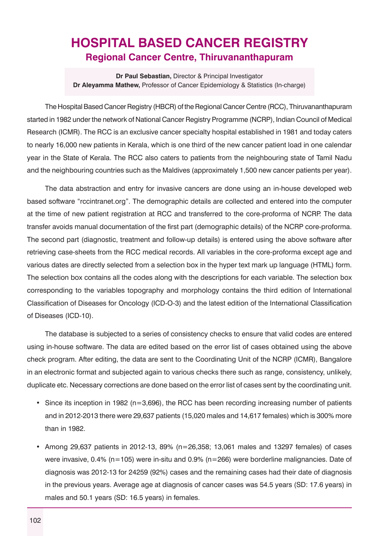## **Hospital Based Cancer Registry Regional Cancer Centre, Thiruvananthapuram**

**Dr Paul Sebastian,** Director & Principal Investigator **Dr Aleyamma Mathew,** Professor of Cancer Epidemiology & Statistics (In-charge)

The Hospital Based Cancer Registry (HBCR) of the Regional Cancer Centre (RCC), Thiruvananthapuram started in 1982 under the network of National Cancer Registry Programme (NCRP), Indian Council of Medical Research (ICMR). The RCC is an exclusive cancer specialty hospital established in 1981 and today caters to nearly 16,000 new patients in Kerala, which is one third of the new cancer patient load in one calendar year in the State of Kerala. The RCC also caters to patients from the neighbouring state of Tamil Nadu and the neighbouring countries such as the Maldives (approximately 1,500 new cancer patients per year).

The data abstraction and entry for invasive cancers are done using an in-house developed web based software "rccintranet.org". The demographic details are collected and entered into the computer at the time of new patient registration at RCC and transferred to the core-proforma of NCRP. The data transfer avoids manual documentation of the first part (demographic details) of the NCRP core-proforma. The second part (diagnostic, treatment and follow-up details) is entered using the above software after retrieving case-sheets from the RCC medical records. All variables in the core-proforma except age and various dates are directly selected from a selection box in the hyper text mark up language (HTML) form. The selection box contains all the codes along with the descriptions for each variable. The selection box corresponding to the variables topography and morphology contains the third edition of International Classification of Diseases for oncology (ICD-O-3) and the latest edition of the International Classification of Diseases (ICD-10).

The database is subjected to a series of consistency checks to ensure that valid codes are entered using in-house software. The data are edited based on the error list of cases obtained using the above check program. After editing, the data are sent to the Coordinating Unit of the NCRP (ICMR), Bangalore in an electronic format and subjected again to various checks there such as range, consistency, unlikely, duplicate etc. Necessary corrections are done based on the error list of cases sent by the coordinating unit.

- Since its inception in 1982 (n=3,696), the RCC has been recording increasing number of patients and in 2012-2013 there were 29,637 patients (15,020 males and 14,617 females) which is 300% more than in 1982.
- Among 29,637 patients in 2012-13, 89% (n=26,358; 13,061 males and 13297 females) of cases were invasive, 0.4% (n=105) were in-situ and 0.9% (n=266) were borderline malignancies. Date of diagnosis was 2012-13 for 24259 (92%) cases and the remaining cases had their date of diagnosis in the previous years. Average age at diagnosis of cancer cases was 54.5 years (SD: 17.6 years) in males and 50.1 years (SD: 16.5 years) in females.